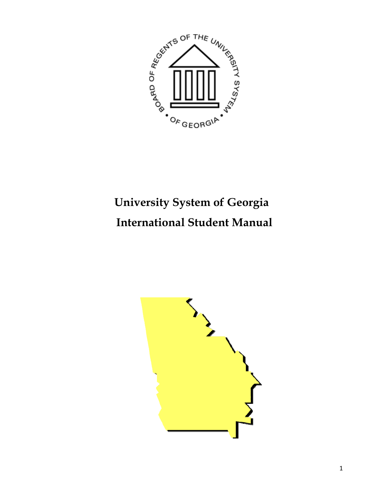

# **University System of Georgia International Student Manual**

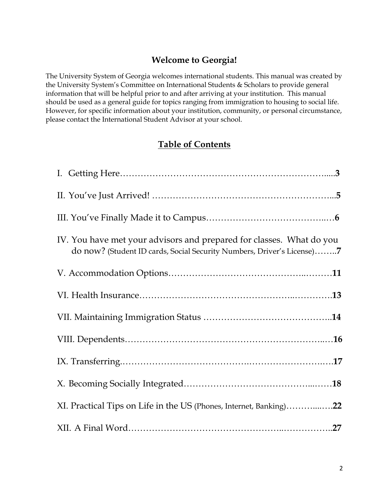## **Welcome to Georgia!**

The University System of Georgia welcomes international students. This manual was created by the University System's Committee on International Students & Scholars to provide general information that will be helpful prior to and after arriving at your institution. This manual should be used as a general guide for topics ranging from immigration to housing to social life. However, for specific information about your institution, community, or personal circumstance, please contact the International Student Advisor at your school.

## **Table of Contents**

| IV. You have met your advisors and prepared for classes. What do you<br>do now? (Student ID cards, Social Security Numbers, Driver's License)7 |
|------------------------------------------------------------------------------------------------------------------------------------------------|
|                                                                                                                                                |
|                                                                                                                                                |
|                                                                                                                                                |
|                                                                                                                                                |
|                                                                                                                                                |
|                                                                                                                                                |
| XI. Practical Tips on Life in the US (Phones, Internet, Banking)22                                                                             |
|                                                                                                                                                |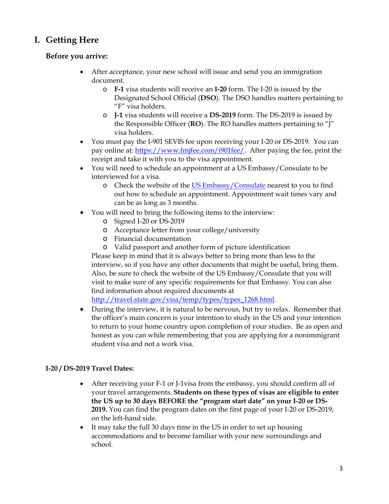## **I. Getting Here**

## **Before you arrive:**

- After acceptance, your new school will issue and send you an immigration document.
	- o **F-1** visa students will receive an **I-20** form. The I-20 is issued by the Designated School Official (**DSO**). The DSO handles matters pertaining to "F" visa holders.
	- o **J-1** visa students will receive a **DS-2019** form. The DS-2019 is issued by the Responsible Officer (**RO**). The RO handles matters pertaining to "J" visa holders.
- You must pay the I-901 SEVIS fee upon receiving your I-20 or DS-2019. You can pay online at: [https://www.fmjfee.com/i901fee/.](https://www.fmjfee.com/i901fee/) After paying the fee, print the receipt and take it with you to the visa appointment.
- You will need to schedule an appointment at a US Embassy/Consulate to be interviewed for a visa.
	- o Check the website of the [US Embassy/Consulate](http://www.usembassy.gov/) nearest to you to find out how to schedule an appointment. Appointment wait times vary and can be as long as 3 months.
- You will need to bring the following items to the interview:
	- o Signed I-20 or DS-2019
	- o Acceptance letter from your college/university
	- o Financial documentation
	- o Valid passport and another form of picture identification

Please keep in mind that it is always better to bring more than less to the interview, so if you have any other documents that might be useful, bring them. Also, be sure to check the website of the US Embassy/Consulate that you will visit to make sure of any specific requirements for that Embassy. You can also find information about required documents at

[http://travel.state.gov/visa/temp/types/types\\_1268.html.](http://travel.state.gov/visa/temp/types/types_1268.html)

• During the interview, it is natural to be nervous, but try to relax. Remember that the officer's main concern is your intention to study in the US and your intention to return to your home country upon completion of your studies. Be as open and honest as you can while remembering that you are applying for a nonimmigrant student visa and not a work visa.

## **I-20 / DS-2019 Travel Dates:**

- After receiving your F-1 or J-1visa from the embassy, you should confirm all of your travel arrangements. **Students on these types of visas are eligible to enter the US up to 30 days BEFORE the "program start date" on your I-20 or DS-2019.** You can find the program dates on the first page of your I-20 or DS-2019, on the left-hand side.
- It may take the full 30 days time in the US in order to set up housing accommodations and to become familiar with your new surroundings and school.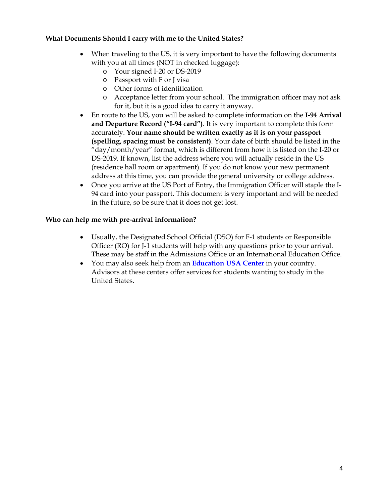## **What Documents Should I carry with me to the United States?**

- When traveling to the US, it is very important to have the following documents with you at all times (NOT in checked luggage):
	- o Your signed I-20 or DS-2019
	- o Passport with F or J visa
	- o Other forms of identification
	- o Acceptance letter from your school. The immigration officer may not ask for it, but it is a good idea to carry it anyway.
- En route to the US, you will be asked to complete information on the **I-94 Arrival and Departure Record ("I-94 card")**. It is very important to complete this form accurately. **Your name should be written exactly as it is on your passport (spelling, spacing must be consistent)**. Your date of birth should be listed in the "day/month/year" format, which is different from how it is listed on the I-20 or DS-2019. If known, list the address where you will actually reside in the US (residence hall room or apartment). If you do not know your new permanent address at this time, you can provide the general university or college address.
- Once you arrive at the US Port of Entry, the Immigration Officer will staple the I-94 card into your passport. This document is very important and will be needed in the future, so be sure that it does not get lost.

## **Who can help me with pre-arrival information?**

- Usually, the Designated School Official (DSO) for F-1 students or Responsible Officer (RO) for J-1 students will help with any questions prior to your arrival. These may be staff in the Admissions Office or an International Education Office.
- You may also seek help from an **[Education USA Center](http://educationusa.state.gov/)** in your country. Advisors at these centers offer services for students wanting to study in the United States.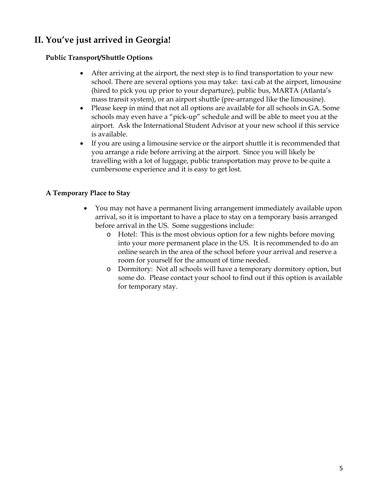## **II. You've just arrived in Georgia!**

## **Public Transport/Shuttle Options**

- After arriving at the airport, the next step is to find transportation to your new school. There are several options you may take: taxi cab at the airport, limousine (hired to pick you up prior to your departure), public bus, MARTA (Atlanta's mass transit system), or an airport shuttle (pre-arranged like the limousine).
- Please keep in mind that not all options are available for all schools in GA. Some schools may even have a "pick-up" schedule and will be able to meet you at the airport. Ask the International Student Advisor at your new school if this service is available.
- If you are using a limousine service or the airport shuttle it is recommended that you arrange a ride before arriving at the airport. Since you will likely be travelling with a lot of luggage, public transportation may prove to be quite a cumbersome experience and it is easy to get lost.

## **A Temporary Place to Stay**

- You may not have a permanent living arrangement immediately available upon arrival, so it is important to have a place to stay on a temporary basis arranged before arrival in the US. Some suggestions include:
	- o Hotel: This is the most obvious option for a few nights before moving into your more permanent place in the US. It is recommended to do an online search in the area of the school before your arrival and reserve a room for yourself for the amount of time needed.
	- o Dormitory: Not all schools will have a temporary dormitory option, but some do. Please contact your school to find out if this option is available for temporary stay.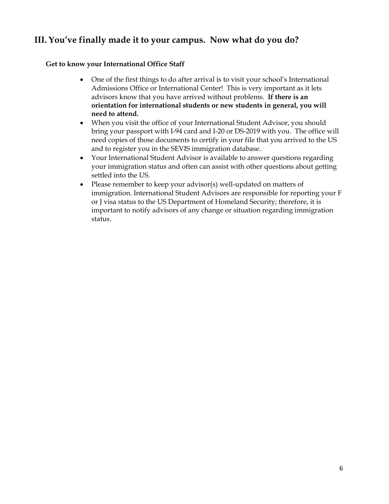## **III. You've finally made it to your campus. Now what do you do?**

## **Get to know your International Office Staff**

- One of the first things to do after arrival is to visit your school's International Admissions Office or International Center! This is very important as it lets advisors know that you have arrived without problems. **If there is an orientation for international students or new students in general, you will need to attend.**
- When you visit the office of your International Student Advisor, you should bring your passport with I-94 card and I-20 or DS-2019 with you. The office will need copies of those documents to certify in your file that you arrived to the US and to register you in the SEVIS immigration database.
- Your International Student Advisor is available to answer questions regarding your immigration status and often can assist with other questions about getting settled into the US.
- Please remember to keep your advisor(s) well-updated on matters of immigration. International Student Advisors are responsible for reporting your F or J visa status to the US Department of Homeland Security; therefore, it is important to notify advisors of any change or situation regarding immigration status.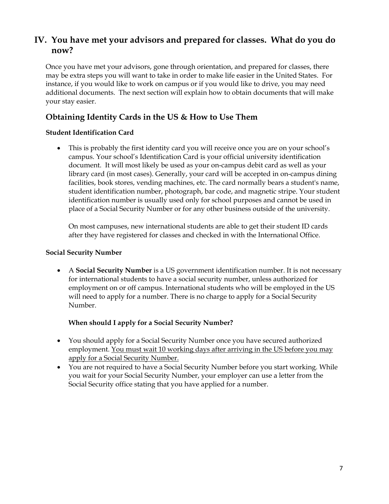## **IV. You have met your advisors and prepared for classes. What do you do now?**

Once you have met your advisors, gone through orientation, and prepared for classes, there may be extra steps you will want to take in order to make life easier in the United States. For instance, if you would like to work on campus or if you would like to drive, you may need additional documents. The next section will explain how to obtain documents that will make your stay easier.

## **Obtaining Identity Cards in the US & How to Use Them**

## **Student Identification Card**

• This is probably the first identity card you will receive once you are on your school's campus. Your school's Identification Card is your official university identification document. It will most likely be used as your on-campus debit card as well as your library card (in most cases). Generally, your card will be accepted in on-campus dining facilities, book stores, vending machines, etc. The card normally bears a student's name, student identification number, photograph, bar code, and magnetic stripe. Your student identification number is usually used only for school purposes and cannot be used in place of a Social Security Number or for any other business outside of the university.

On most campuses, new international students are able to get their student ID cards after they have registered for classes and checked in with the International Office.

## **Social Security Number**

• A **Social Security Number** is a US government identification number. It is not necessary for international students to have a social security number, unless authorized for employment on or off campus. International students who will be employed in the US will need to apply for a number. There is no charge to apply for a Social Security Number.

## **When should I apply for a Social Security Number?**

- You should apply for a Social Security Number once you have secured authorized employment. You must wait 10 working days after arriving in the US before you may apply for a Social Security Number.
- You are not required to have a Social Security Number before you start working. While you wait for your Social Security Number, your employer can use a letter from the Social Security office stating that you have applied for a number.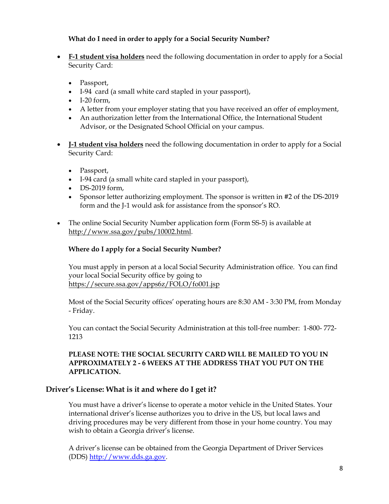## **What do I need in order to apply for a Social Security Number?**

- **F-1 student visa holders** need the following documentation in order to apply for a Social Security Card:
	- Passport,
	- I-94 card (a small white card stapled in your passport),
	- $\bullet$  I-20 form,
	- A letter from your employer stating that you have received an offer of employment,
	- An authorization letter from the International Office, the International Student Advisor, or the Designated School Official on your campus.
- **J-1 student visa holders** need the following documentation in order to apply for a Social Security Card:
	- Passport,
	- I-94 card (a small white card stapled in your passport),
	- DS-2019 form,
	- Sponsor letter authorizing employment. The sponsor is written in #2 of the DS-2019 form and the J-1 would ask for assistance from the sponsor's RO.
- The online Social Security Number application form [\(Form SS-5\)](http://www.ssa.gov/pubs/10002.html) is available at [http://www.ssa.gov/pubs/10002.html.](http://www.ssa.gov/pubs/10002.html)

## **Where do I apply for a Social Security Number?**

You must apply in person at a local Social Security Administration office. You can find your local Social Security office by going to <https://secure.ssa.gov/apps6z/FOLO/fo001.jsp>

Most of the Social Security offices' operating hours are 8:30 AM - 3:30 PM, from Monday - Friday.

You can contact the Social Security Administration at this toll-free number: 1-800- 772- 1213

## **PLEASE NOTE: THE SOCIAL SECURITY CARD WILL BE MAILED TO YOU IN APPROXIMATELY 2 - 6 WEEKS AT THE ADDRESS THAT YOU PUT ON THE APPLICATION.**

## **Driver's License: What is it and where do I get it?**

You must have a driver's license to operate a motor vehicle in the United States. Your international driver's license authorizes you to drive in the US, but local laws and driving procedures may be very different from those in your home country. You may wish to obtain a Georgia driver's license.

A driver's license can be obtained from the Georgia Department of Driver Services (DDS) [http://www.dds.ga.gov](http://www.dds.ga.gov/).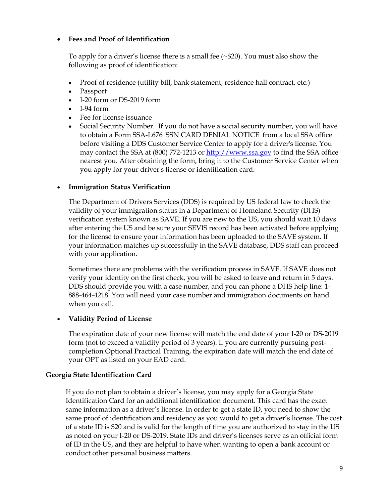## • **Fees and Proof of Identification**

To apply for a driver's license there is a small fee (~\$20). You must also show the following as proof of identification:

- Proof of residence (utility bill, bank statement, residence hall contract, etc.)
- Passport
- I-20 form or DS-2019 form
- I-94 form
- Fee for license issuance
- Social Security Number. If you do not have a social security number, you will have to obtain a Form SSA-L676 'SSN CARD DENIAL NOTICE' from a local SSA office before visiting a DDS Customer Service Center to apply for a driver's license. You may contact the SSA at (800) 772-1213 or [http://www.ssa.gov](http://www.ssa.gov/) to find the SSA office nearest you. After obtaining the form, bring it to the Customer Service Center when you apply for your driver's license or identification card.

## • **Immigration Status Verification**

The Department of Drivers Services (DDS) is required by US federal law to check the validity of your immigration status in a Department of Homeland Security (DHS) verification system known as SAVE. If you are new to the US, you should wait 10 days after entering the US and be sure your SEVIS record has been activated before applying for the license to ensure your information has been uploaded to the SAVE system. If your information matches up successfully in the SAVE database, DDS staff can proceed with your application.

Sometimes there are problems with the verification process in SAVE. If SAVE does not verify your identity on the first check, you will be asked to leave and return in 5 days. DDS should provide you with a case number, and you can phone a DHS help line: 1- 888-464-4218. You will need your case number and immigration documents on hand when you call.

## • **Validity Period of License**

The expiration date of your new license will match the end date of your I-20 or DS-2019 form (not to exceed a validity period of 3 years). If you are currently pursuing postcompletion Optional Practical Training, the expiration date will match the end date of your OPT as listed on your EAD card.

## **Georgia State Identification Card**

If you do not plan to obtain a driver's license, you may apply for a Georgia State Identification Card for an additional identification document. This card has the exact same information as a driver's license. In order to get a state ID, you need to show the same proof of identification and residency as you would to get a driver's license. The cost of a state ID is \$20 and is valid for the length of time you are authorized to stay in the US as noted on your I-20 or DS-2019. State IDs and driver's licenses serve as an official form of ID in the US, and they are helpful to have when wanting to open a bank account or conduct other personal business matters.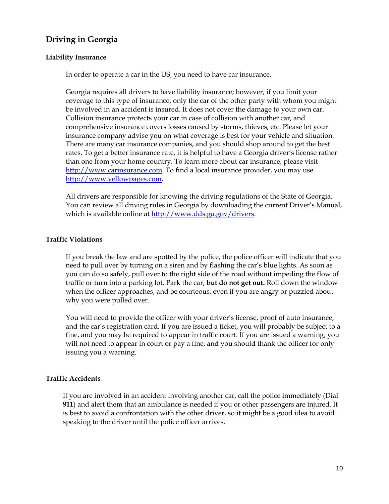## **Driving in Georgia**

### **Liability Insurance**

In order to operate a car in the US, you need to have car insurance.

Georgia requires all drivers to have liability insurance; however, if you limit your coverage to this type of insurance, only the car of the other party with whom you might be involved in an accident is insured. It does not cover the damage to your own car. Collision insurance protects your car in case of collision with another car, and comprehensive insurance covers losses caused by storms, thieves, etc. Please let your insurance company advise you on what coverage is best for your vehicle and situation. There are many car insurance companies, and you should shop around to get the best rates. To get a better insurance rate, it is helpful to have a Georgia driver's license rather than one from your home country. To learn more about car insurance, please visit [http://www.carinsurance.com](http://www.carinsurance.com/). To find a local insurance provider, you may use [http://www.yellowpages.com.](http://www.yellowpages.com/)

All drivers are responsible for knowing the driving regulations of the State of Georgia. You can review all driving rules in Georgia by downloading the current Driver's Manual, which is available online at<http://www.dds.ga.gov/drivers>.

### **Traffic Violations**

If you break the law and are spotted by the police, the police officer will indicate that you need to pull over by turning on a siren and by flashing the car's blue lights. As soon as you can do so safely, pull over to the right side of the road without impeding the flow of traffic or turn into a parking lot. Park the car, **but do not get out.** Roll down the window when the officer approaches, and be courteous, even if you are angry or puzzled about why you were pulled over.

You will need to provide the officer with your driver's license, proof of auto insurance, and the car's registration card. If you are issued a ticket, you will probably be subject to a fine, and you may be required to appear in traffic court. If you are issued a warning, you will not need to appear in court or pay a fine, and you should thank the officer for only issuing you a warning.

### **Traffic Accidents**

If you are involved in an accident involving another car, call the police immediately (Dial **911**) and alert them that an ambulance is needed if you or other passengers are injured. It is best to avoid a confrontation with the other driver, so it might be a good idea to avoid speaking to the driver until the police officer arrives.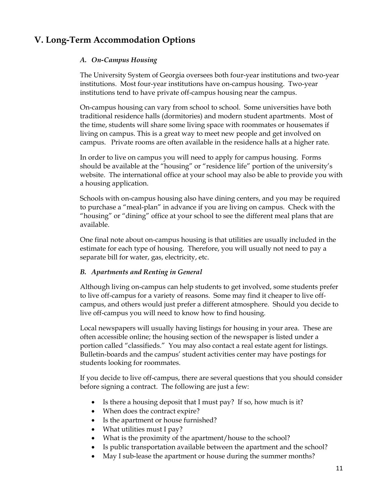## **V. Long-Term Accommodation Options**

## *A. On-Campus Housing*

The University System of Georgia oversees both four-year institutions and two-year institutions. Most four-year institutions have on-campus housing. Two-year institutions tend to have private off-campus housing near the campus.

On-campus housing can vary from school to school. Some universities have both traditional residence halls (dormitories) and modern student apartments. Most of the time, students will share some living space with roommates or housemates if living on campus. This is a great way to meet new people and get involved on campus. Private rooms are often available in the residence halls at a higher rate.

In order to live on campus you will need to apply for campus housing. Forms should be available at the "housing" or "residence life" portion of the university's website. The international office at your school may also be able to provide you with a housing application.

Schools with on-campus housing also have dining centers, and you may be required to purchase a "meal-plan" in advance if you are living on campus. Check with the "housing" or "dining" office at your school to see the different meal plans that are available.

One final note about on-campus housing is that utilities are usually included in the estimate for each type of housing. Therefore, you will usually not need to pay a separate bill for water, gas, electricity, etc.

## *B. Apartments and Renting in General*

Although living on-campus can help students to get involved, some students prefer to live off-campus for a variety of reasons. Some may find it cheaper to live offcampus, and others would just prefer a different atmosphere. Should you decide to live off-campus you will need to know how to find housing.

Local newspapers will usually having listings for housing in your area. These are often accessible online; the housing section of the newspaper is listed under a portion called "classifieds." You may also contact a real estate agent for listings. Bulletin-boards and the campus' student activities center may have postings for students looking for roommates.

If you decide to live off-campus, there are several questions that you should consider before signing a contract. The following are just a few:

- Is there a housing deposit that I must pay? If so, how much is it?
- When does the contract expire?
- Is the apartment or house furnished?
- What utilities must I pay?
- What is the proximity of the apartment/house to the school?
- Is public transportation available between the apartment and the school?
- May I sub-lease the apartment or house during the summer months?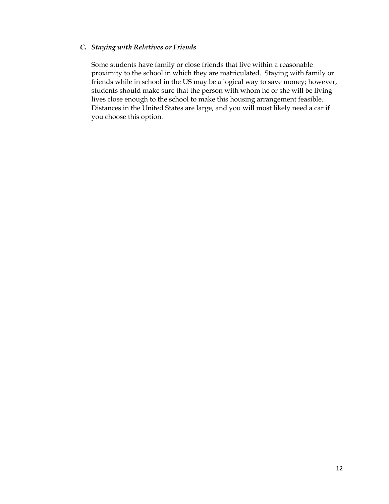### *C. Staying with Relatives or Friends*

Some students have family or close friends that live within a reasonable proximity to the school in which they are matriculated. Staying with family or friends while in school in the US may be a logical way to save money; however, students should make sure that the person with whom he or she will be living lives close enough to the school to make this housing arrangement feasible. Distances in the United States are large, and you will most likely need a car if you choose this option.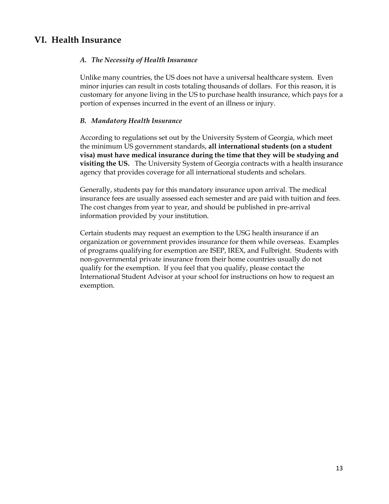## **VI. Health Insurance**

## *A. The Necessity of Health Insurance*

Unlike many countries, the US does not have a universal healthcare system. Even minor injuries can result in costs totaling thousands of dollars. For this reason, it is customary for anyone living in the US to purchase health insurance, which pays for a portion of expenses incurred in the event of an illness or injury.

## *B. Mandatory Health Insurance*

According to regulations set out by the University System of Georgia, which meet the minimum US government standards, **all international students (on a student visa) must have medical insurance during the time that they will be studying and visiting the US.** The University System of Georgia contracts with a health insurance agency that provides coverage for all international students and scholars.

Generally, students pay for this mandatory insurance upon arrival. The medical insurance fees are usually assessed each semester and are paid with tuition and fees. The cost changes from year to year, and should be published in pre-arrival information provided by your institution.

Certain students may request an exemption to the USG health insurance if an organization or government provides insurance for them while overseas. Examples of programs qualifying for exemption are ISEP, IREX, and Fulbright. Students with non-governmental private insurance from their home countries usually do not qualify for the exemption. If you feel that you qualify, please contact the International Student Advisor at your school for instructions on how to request an exemption.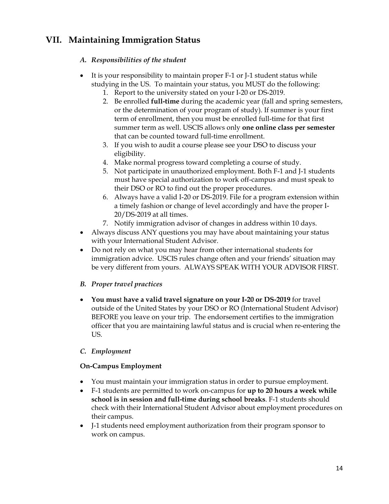## **VII. Maintaining Immigration Status**

## *A. Responsibilities of the student*

- It is your responsibility to maintain proper F-1 or J-1 student status while studying in the US. To maintain your status, you MUST do the following:
	- 1. Report to the university stated on your I-20 or DS-2019.
	- 2. Be enrolled **full-time** during the academic year (fall and spring semesters, or the determination of your program of study). If summer is your first term of enrollment, then you must be enrolled full-time for that first summer term as well. USCIS allows only **one online class per semester** that can be counted toward full-time enrollment.
	- 3. If you wish to audit a course please see your DSO to discuss your eligibility.
	- 4. Make normal progress toward completing a course of study.
	- 5. Not participate in unauthorized employment. Both F-1 and J-1 students must have special authorization to work off-campus and must speak to their DSO or RO to find out the proper procedures.
	- 6. Always have a valid I-20 or DS-2019. File for a program extension within a timely fashion or change of level accordingly and have the proper I-20/DS-2019 at all times.
	- 7. Notify immigration advisor of changes in address within 10 days.
- Always discuss ANY questions you may have about maintaining your status with your International Student Advisor.
- Do not rely on what you may hear from other international students for immigration advice. USCIS rules change often and your friends' situation may be very different from yours. ALWAYS SPEAK WITH YOUR ADVISOR FIRST.

## *B. Proper travel practices*

• **You mus**t **have a valid travel signature on your I-20 or DS-2019** for travel outside of the United States by your DSO or RO (International Student Advisor) BEFORE you leave on your trip. The endorsement certifies to the immigration officer that you are maintaining lawful status and is crucial when re-entering the US.

## *C. Employment*

## **On-Campus Employment**

- You must maintain your immigration status in order to pursue employment.
- F-1 students are permitted to work on-campus for **up to 20 hours a week while school is in session and full-time during school breaks**. F-1 students should check with their International Student Advisor about employment procedures on their campus.
- J-1 students need employment authorization from their program sponsor to work on campus.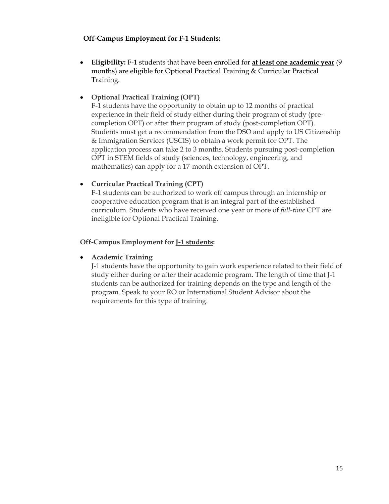## **Off-Campus Employment for F-1 Students:**

• **Eligibility:** F-1 students that have been enrolled for **at least one academic year** (9 months) are eligible for Optional Practical Training & Curricular Practical Training.

## • **Optional Practical Training (OPT)**

F-1 students have the opportunity to obtain up to 12 months of practical experience in their field of study either during their program of study (precompletion OPT) or after their program of study (post-completion OPT). Students must get a recommendation from the DSO and apply to US Citizenship & Immigration Services (USCIS) to obtain a work permit for OPT. The application process can take 2 to 3 months. Students pursuing post-completion OPT in STEM fields of study (sciences, technology, engineering, and mathematics) can apply for a 17-month extension of OPT.

## • **Curricular Practical Training (CPT)**

F-1 students can be authorized to work off campus through an internship or cooperative education program that is an integral part of the established curriculum. Students who have received one year or more of *full-time* CPT are ineligible for Optional Practical Training.

## **Off-Campus Employment for J-1 students:**

## • **Academic Training**

J-1 students have the opportunity to gain work experience related to their field of study either during or after their academic program. The length of time that J-1 students can be authorized for training depends on the type and length of the program. Speak to your RO or International Student Advisor about the requirements for this type of training.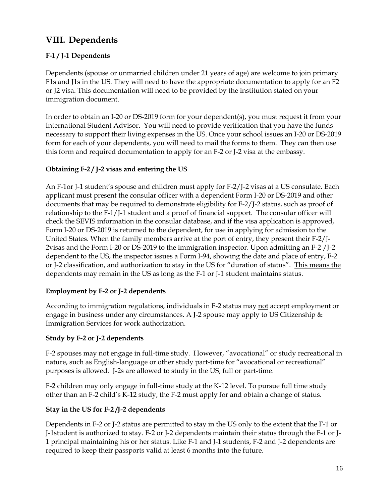## **VIII. Dependents**

## **F-1 / J-1 Dependents**

Dependents (spouse or unmarried children under 21 years of age) are welcome to join primary F1s and J1s in the US. They will need to have the appropriate documentation to apply for an F2 or J2 visa. This documentation will need to be provided by the institution stated on your immigration document.

In order to obtain an I-20 or DS-2019 form for your dependent(s), you must request it from your International Student Advisor. You will need to provide verification that you have the funds necessary to support their living expenses in the US. Once your school issues an I-20 or DS-2019 form for each of your dependents, you will need to mail the forms to them. They can then use this form and required documentation to apply for an F-2 or J-2 visa at the embassy.

## **Obtaining F-2 / J-2 visas and entering the US**

An F-1or J-1 student's spouse and children must apply for F-2/J-2 visas at a US consulate. Each applicant must present the consular officer with a dependent Form I-20 or DS-2019 and other documents that may be required to demonstrate eligibility for F-2/J-2 status, such as proof of relationship to the F-1/J-1 student and a proof of financial support. The consular officer will check the SEVIS information in the consular database, and if the visa application is approved, Form I-20 or DS-2019 is returned to the dependent, for use in applying for admission to the United States. When the family members arrive at the port of entry, they present their F-2/J-2visas and the Form I-20 or DS-2019 to the immigration inspector. Upon admitting an F-2 /J-2 dependent to the US, the inspector issues a Form I-94, showing the date and place of entry, F-2 or J-2 classification, and authorization to stay in the US for "duration of status". This means the dependents may remain in the US as long as the F-1 or J-1 student maintains status.

## **Employment by F-2 or J-2 dependents**

According to immigration regulations, individuals in F-2 status may not accept employment or engage in business under any circumstances. A J-2 spouse may apply to US Citizenship & Immigration Services for work authorization.

## **Study by F-2 or J-2 dependents**

F-2 spouses may not engage in full-time study. However, "avocational" or study recreational in nature, such as English-language or other study part-time for "avocational or recreational" purposes is allowed. J-2s are allowed to study in the US, full or part-time.

F-2 children may only engage in full-time study at the K-12 level. To pursue full time study other than an F-2 child's K-12 study, the F-2 must apply for and obtain a change of status.

## **Stay in the US for F-2 /J-2 dependents**

Dependents in F-2 or J-2 status are permitted to stay in the US only to the extent that the F-1 or J-1student is authorized to stay. F-2 or J-2 dependents maintain their status through the F-1 or J-1 principal maintaining his or her status. Like F-1 and J-1 students, F-2 and J-2 dependents are required to keep their passports valid at least 6 months into the future.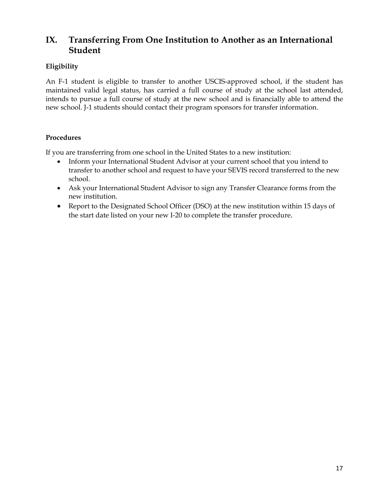## **IX. Transferring From One Institution to Another as an International Student**

## **Eligibility**

An F-1 student is eligible to transfer to another USCIS-approved school, if the student has maintained valid legal status, has carried a full course of study at the school last attended, intends to pursue a full course of study at the new school and is financially able to attend the new school. J-1 students should contact their program sponsors for transfer information.

## **Procedures**

If you are transferring from one school in the United States to a new institution:

- Inform your International Student Advisor at your current school that you intend to transfer to another school and request to have your SEVIS record transferred to the new school.
- Ask your International Student Advisor to sign any Transfer Clearance forms from the new institution.
- Report to the Designated School Officer (DSO) at the new institution within 15 days of the start date listed on your new I-20 to complete the transfer procedure.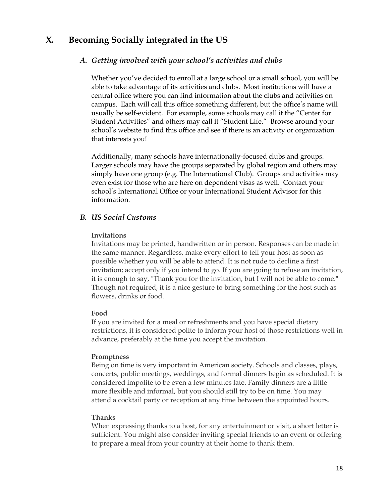## **X. Becoming Socially integrated in the US**

## *A. Getting involved with your school's activities and clubs*

Whether you've decided to enroll at a large school or a small sc**h**ool, you will be able to take advantage of its activities and clubs. Most institutions will have a central office where you can find information about the clubs and activities on campus. Each will call this office something different, but the office's name will usually be self-evident. For example, some schools may call it the "Center for Student Activities" and others may call it "Student Life." Browse around your school's website to find this office and see if there is an activity or organization that interests you!

Additionally, many schools have internationally-focused clubs and groups. Larger schools may have the groups separated by global region and others may simply have one group (e.g. The International Club). Groups and activities may even exist for those who are here on dependent visas as well. Contact your school's International Office or your International Student Advisor for this information.

## *B. US Social Customs*

### **Invitations**

Invitations may be printed, handwritten or in person. Responses can be made in the same manner. Regardless, make every effort to tell your host as soon as possible whether you will be able to attend. It is not rude to decline a first invitation; accept only if you intend to go. If you are going to refuse an invitation, it is enough to say, "Thank you for the invitation, but I will not be able to come." Though not required, it is a nice gesture to bring something for the host such as flowers, drinks or food.

## **Food**

If you are invited for a meal or refreshments and you have special dietary restrictions, it is considered polite to inform your host of those restrictions well in advance, preferably at the time you accept the invitation.

### **Promptness**

Being on time is very important in American society. Schools and classes, plays, concerts, public meetings, weddings, and formal dinners begin as scheduled. It is considered impolite to be even a few minutes late. Family dinners are a little more flexible and informal, but you should still try to be on time. You may attend a cocktail party or reception at any time between the appointed hours.

### **Thanks**

When expressing thanks to a host, for any entertainment or visit, a short letter is sufficient. You might also consider inviting special friends to an event or offering to prepare a meal from your country at their home to thank them.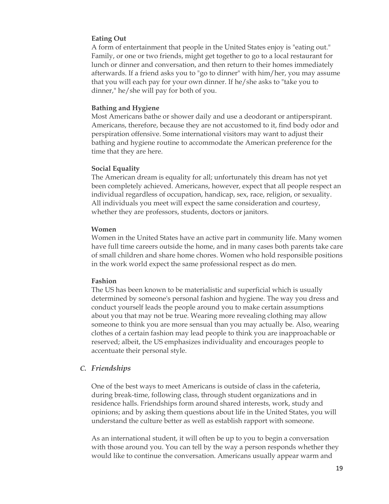### **Eating Out**

A form of entertainment that people in the United States enjoy is "eating out." Family, or one or two friends, might get together to go to a local restaurant for lunch or dinner and conversation, and then return to their homes immediately afterwards. If a friend asks you to "go to dinner" with him/her, you may assume that you will each pay for your own dinner. If he/she asks to "take you to dinner," he/she will pay for both of you.

#### **Bathing and Hygiene**

Most Americans bathe or shower daily and use a deodorant or antiperspirant. Americans, therefore, because they are not accustomed to it, find body odor and perspiration offensive. Some international visitors may want to adjust their bathing and hygiene routine to accommodate the American preference for the time that they are here.

#### **Social Equality**

The American dream is equality for all; unfortunately this dream has not yet been completely achieved. Americans, however, expect that all people respect an individual regardless of occupation, handicap, sex, race, religion, or sexuality. All individuals you meet will expect the same consideration and courtesy, whether they are professors, students, doctors or janitors.

#### **Women**

Women in the United States have an active part in community life. Many women have full time careers outside the home, and in many cases both parents take care of small children and share home chores. Women who hold responsible positions in the work world expect the same professional respect as do men.

#### **Fashion**

The US has been known to be materialistic and superficial which is usually determined by someone's personal fashion and hygiene. The way you dress and conduct yourself leads the people around you to make certain assumptions about you that may not be true. Wearing more revealing clothing may allow someone to think you are more sensual than you may actually be. Also, wearing clothes of a certain fashion may lead people to think you are inapproachable or reserved; albeit, the US emphasizes individuality and encourages people to accentuate their personal style.

### *C. Friendships*

One of the best ways to meet Americans is outside of class in the cafeteria, during break-time, following class, through student organizations and in residence halls. Friendships form around shared interests, work, study and opinions; and by asking them questions about life in the United States, you will understand the culture better as well as establish rapport with someone.

As an international student, it will often be up to you to begin a conversation with those around you. You can tell by the way a person responds whether they would like to continue the conversation. Americans usually appear warm and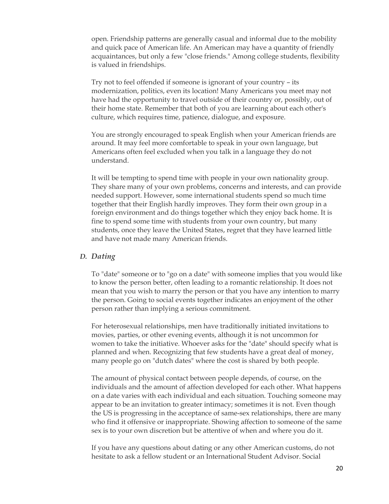open. Friendship patterns are generally casual and informal due to the mobility and quick pace of American life. An American may have a quantity of friendly acquaintances, but only a few "close friends." Among college students, flexibility is valued in friendships.

Try not to feel offended if someone is ignorant of your country – its modernization, politics, even its location! Many Americans you meet may not have had the opportunity to travel outside of their country or, possibly, out of their home state. Remember that both of you are learning about each other's culture, which requires time, patience, dialogue, and exposure.

You are strongly encouraged to speak English when your American friends are around. It may feel more comfortable to speak in your own language, but Americans often feel excluded when you talk in a language they do not understand.

It will be tempting to spend time with people in your own nationality group. They share many of your own problems, concerns and interests, and can provide needed support. However, some international students spend so much time together that their English hardly improves. They form their own group in a foreign environment and do things together which they enjoy back home. It is fine to spend some time with students from your own country, but many students, once they leave the United States, regret that they have learned little and have not made many American friends.

#### *D. Dating*

To "date" someone or to "go on a date" with someone implies that you would like to know the person better, often leading to a romantic relationship. It does not mean that you wish to marry the person or that you have any intention to marry the person. Going to social events together indicates an enjoyment of the other person rather than implying a serious commitment.

For heterosexual relationships, men have traditionally initiated invitations to movies, parties, or other evening events, although it is not uncommon for women to take the initiative. Whoever asks for the "date" should specify what is planned and when. Recognizing that few students have a great deal of money, many people go on "dutch dates" where the cost is shared by both people.

The amount of physical contact between people depends, of course, on the individuals and the amount of affection developed for each other. What happens on a date varies with each individual and each situation. Touching someone may appear to be an invitation to greater intimacy; sometimes it is not. Even though the US is progressing in the acceptance of same-sex relationships, there are many who find it offensive or inappropriate. Showing affection to someone of the same sex is to your own discretion but be attentive of when and where you do it.

If you have any questions about dating or any other American customs, do not hesitate to ask a fellow student or an International Student Advisor. Social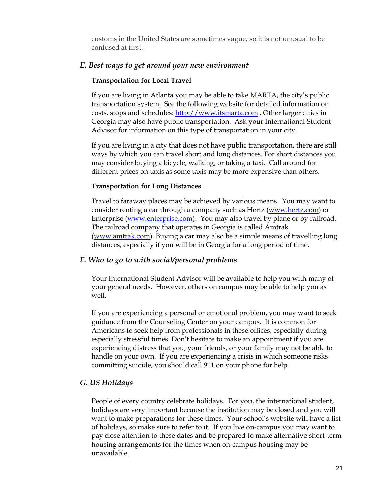customs in the United States are sometimes vague, so it is not unusual to be confused at first.

### *E. Best ways to get around your new environment*

#### **Transportation for Local Travel**

If you are living in Atlanta you may be able to take MARTA, the city's public transportation system. See the following website for detailed information on costs, stops and schedules: [http://www.itsmarta.com](http://www.itsmarta.com/) . Other larger cities in Georgia may also have public transportation. Ask your International Student Advisor for information on this type of transportation in your city.

If you are living in a city that does not have public transportation, there are still ways by which you can travel short and long distances. For short distances you may consider buying a bicycle, walking, or taking a taxi. Call around for different prices on taxis as some taxis may be more expensive than others.

#### **Transportation for Long Distances**

Travel to faraway places may be achieved by various means. You may want to consider renting a car through a company such as Hertz [\(www.hertz.com\)](http://www.hertz.com/) or Enterprise ([www.enterprise.com](http://www.enterprise.com/)). You may also travel by plane or by railroad. The railroad company that operates in Georgia is called Amtrak ([www.amtrak.com](http://www.amtrak.com/)). Buying a car may also be a simple means of travelling long distances, especially if you will be in Georgia for a long period of time.

#### *F. Who to go to with social/personal problems*

Your International Student Advisor will be available to help you with many of your general needs. However, others on campus may be able to help you as well.

If you are experiencing a personal or emotional problem, you may want to seek guidance from the Counseling Center on your campus. It is common for Americans to seek help from professionals in these offices, especially during especially stressful times. Don't hesitate to make an appointment if you are experiencing distress that you, your friends, or your family may not be able to handle on your own. If you are experiencing a crisis in which someone risks committing suicide, you should call 911 on your phone for help.

#### *G. US Holidays*

People of every country celebrate holidays. For you, the international student, holidays are very important because the institution may be closed and you will want to make preparations for these times. Your school's website will have a list of holidays, so make sure to refer to it. If you live on-campus you may want to pay close attention to these dates and be prepared to make alternative short-term housing arrangements for the times when on-campus housing may be unavailable.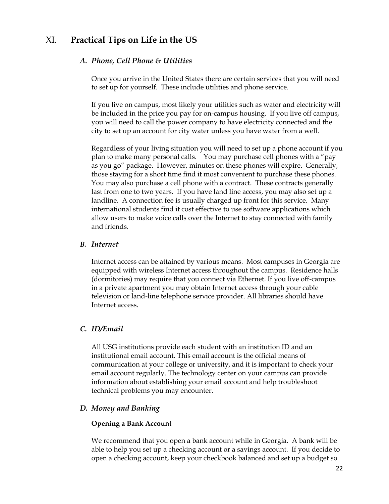## XI. **Practical Tips on Life in the US**

## *A. Phone, Cell Phone & Utilities*

Once you arrive in the United States there are certain services that you will need to set up for yourself. These include utilities and phone service.

If you live on campus, most likely your utilities such as water and electricity will be included in the price you pay for on-campus housing. If you live off campus, you will need to call the power company to have electricity connected and the city to set up an account for city water unless you have water from a well.

Regardless of your living situation you will need to set up a phone account if you plan to make many personal calls. You may purchase cell phones with a "pay as you go" package. However, minutes on these phones will expire. Generally, those staying for a short time find it most convenient to purchase these phones. You may also purchase a cell phone with a contract. These contracts generally last from one to two years. If you have land line access, you may also set up a landline. A connection fee is usually charged up front for this service. Many international students find it cost effective to use software applications which allow users to make voice calls over the Internet to stay connected with family and friends.

### *B. Internet*

Internet access can be attained by various means. Most campuses in Georgia are equipped with wireless Internet access throughout the campus. Residence halls (dormitories) may require that you connect via Ethernet. If you live off-campus in a private apartment you may obtain Internet access through your cable television or land-line telephone service provider. All libraries should have Internet access.

## *C. ID/Email*

All USG institutions provide each student with an institution ID and an institutional email account. This email account is the official means of communication at your college or university, and it is important to check your email account regularly. The technology center on your campus can provide information about establishing your email account and help troubleshoot technical problems you may encounter.

## *D. Money and Banking*

### **Opening a Bank Account**

We recommend that you open a bank account while in Georgia. A bank will be able to help you set up a checking account or a savings account. If you decide to open a checking account, keep your checkbook balanced and set up a budget so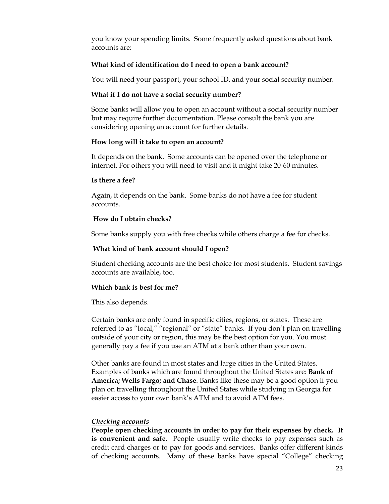you know your spending limits. Some frequently asked questions about bank accounts are:

### **What kind of identification do I need to open a bank account?**

You will need your passport, your school ID, and your social security number.

### **What if I do not have a social security number?**

Some banks will allow you to open an account without a social security number but may require further documentation. Please consult the bank you are considering opening an account for further details.

### **How long will it take to open an account?**

It depends on the bank. Some accounts can be opened over the telephone or internet. For others you will need to visit and it might take 20-60 minutes.

### **Is there a fee?**

Again, it depends on the bank. Some banks do not have a fee for student accounts.

## **How do I obtain checks?**

Some banks supply you with free checks while others charge a fee for checks.

## **What kind of bank account should I open?**

Student checking accounts are the best choice for most students. Student savings accounts are available, too.

## **Which bank is best for me?**

This also depends.

Certain banks are only found in specific cities, regions, or states. These are referred to as "local," "regional" or "state" banks. If you don't plan on travelling outside of your city or region, this may be the best option for you. You must generally pay a fee if you use an ATM at a bank other than your own.

Other banks are found in most states and large cities in the United States. Examples of banks which are found throughout the United States are: **Bank of America; Wells Fargo; and Chase**. Banks like these may be a good option if you plan on travelling throughout the United States while studying in Georgia for easier access to your own bank's ATM and to avoid ATM fees.

## *Checking accounts*

**People open checking accounts in order to pay for their expenses by check. It is convenient and safe.** People usually write checks to pay expenses such as credit card charges or to pay for goods and services. Banks offer different kinds of checking accounts. Many of these banks have special "College" checking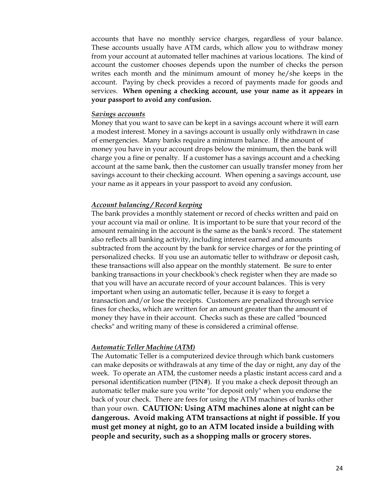accounts that have no monthly service charges, regardless of your balance. These accounts usually have ATM cards, which allow you to withdraw money from your account at automated teller machines at various locations. The kind of account the customer chooses depends upon the number of checks the person writes each month and the minimum amount of money he/she keeps in the account. Paying by check provides a record of payments made for goods and services. **When opening a checking account, use your name as it appears in your passport to avoid any confusion.**

#### *Savings accounts*

Money that you want to save can be kept in a savings account where it will earn a modest interest. Money in a savings account is usually only withdrawn in case of emergencies. Many banks require a minimum balance. If the amount of money you have in your account drops below the minimum, then the bank will charge you a fine or penalty. If a customer has a savings account and a checking account at the same bank, then the customer can usually transfer money from her savings account to their checking account. When opening a savings account, use your name as it appears in your passport to avoid any confusion.

#### *Account balancing / Record keeping*

The bank provides a monthly statement or record of checks written and paid on your account via mail or online. It is important to be sure that your record of the amount remaining in the account is the same as the bank's record. The statement also reflects all banking activity, including interest earned and amounts subtracted from the account by the bank for service charges or for the printing of personalized checks. If you use an automatic teller to withdraw or deposit cash, these transactions will also appear on the monthly statement. Be sure to enter banking transactions in your checkbook's check register when they are made so that you will have an accurate record of your account balances. This is very important when using an automatic teller, because it is easy to forget a transaction and/or lose the receipts. Customers are penalized through service fines for checks, which are written for an amount greater than the amount of money they have in their account. Checks such as these are called "bounced checks" and writing many of these is considered a criminal offense.

#### *Automatic Teller Machine (ATM)*

The Automatic Teller is a computerized device through which bank customers can make deposits or withdrawals at any time of the day or night, any day of the week. To operate an ATM, the customer needs a plastic instant access card and a personal identification number (PIN#). If you make a check deposit through an automatic teller make sure you write "for deposit only" when you endorse the back of your check. There are fees for using the ATM machines of banks other than your own. **CAUTION: Using ATM machines alone at night can be dangerous. Avoid making ATM transactions at night if possible. If you must get money at night, go to an ATM located inside a building with people and security, such as a shopping malls or grocery stores.**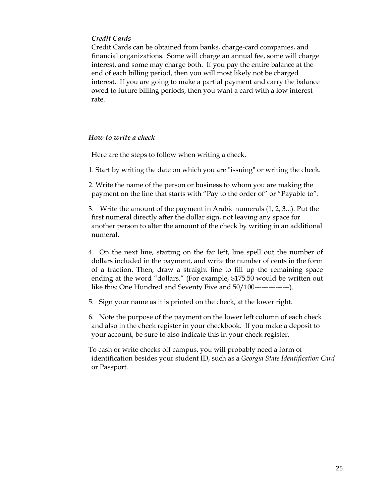## *Credit Cards*

Credit Cards can be obtained from banks, charge-card companies, and financial organizations. Some will charge an annual fee, some will charge interest, and some may charge both. If you pay the entire balance at the end of each billing period, then you will most likely not be charged interest. If you are going to make a partial payment and carry the balance owed to future billing periods, then you want a card with a low interest rate.

## *How to write a check*

Here are the steps to follow when writing a check.

1. Start by writing the date on which you are "issuing" or writing the check.

2. Write the name of the person or business to whom you are making the payment on the line that starts with "Pay to the order of" or "Payable to".

3. Write the amount of the payment in Arabic numerals (1, 2, 3...). Put the first numeral directly after the dollar sign, not leaving any space for another person to alter the amount of the check by writing in an additional numeral.

- 4. On the next line, starting on the far left, line spell out the number of dollars included in the payment, and write the number of cents in the form of a fraction. Then, draw a straight line to fill up the remaining space ending at the word "dollars." (For example, \$175.50 would be written out like this: One Hundred and Seventy Five and 50/100---------------).
- 5. Sign your name as it is printed on the check, at the lower right.

6. Note the purpose of the payment on the lower left column of each check and also in the check register in your checkbook. If you make a deposit to your account, be sure to also indicate this in your check register.

To cash or write checks off campus, you will probably need a form of identification besides your student ID, such as a *Georgia State Identification Card*  or Passport.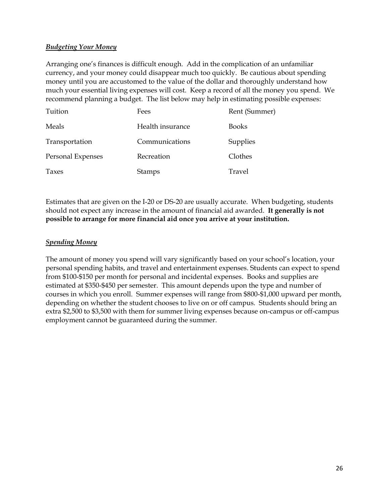## *Budgeting Your Money*

Arranging one's finances is difficult enough. Add in the complication of an unfamiliar currency, and your money could disappear much too quickly. Be cautious about spending money until you are accustomed to the value of the dollar and thoroughly understand how much your essential living expenses will cost. Keep a record of all the money you spend. We recommend planning a budget. The list below may help in estimating possible expenses:

| Tuition           | Fees             | Rent (Summer) |
|-------------------|------------------|---------------|
| Meals             | Health insurance | <b>Books</b>  |
| Transportation    | Communications   | Supplies      |
| Personal Expenses | Recreation       | Clothes       |
| Taxes             | <b>Stamps</b>    | Travel        |

Estimates that are given on the I-20 or DS-20 are usually accurate. When budgeting, students should not expect any increase in the amount of financial aid awarded. **It generally is not possible to arrange for more financial aid once you arrive at your institution.** 

## *Spending Money*

The amount of money you spend will vary significantly based on your school's location, your personal spending habits, and travel and entertainment expenses. Students can expect to spend from \$100-\$150 per month for personal and incidental expenses. Books and supplies are estimated at \$350-\$450 per semester. This amount depends upon the type and number of courses in which you enroll. Summer expenses will range from \$800-\$1,000 upward per month, depending on whether the student chooses to live on or off campus. Students should bring an extra \$2,500 to \$3,500 with them for summer living expenses because on-campus or off-campus employment cannot be guaranteed during the summer.